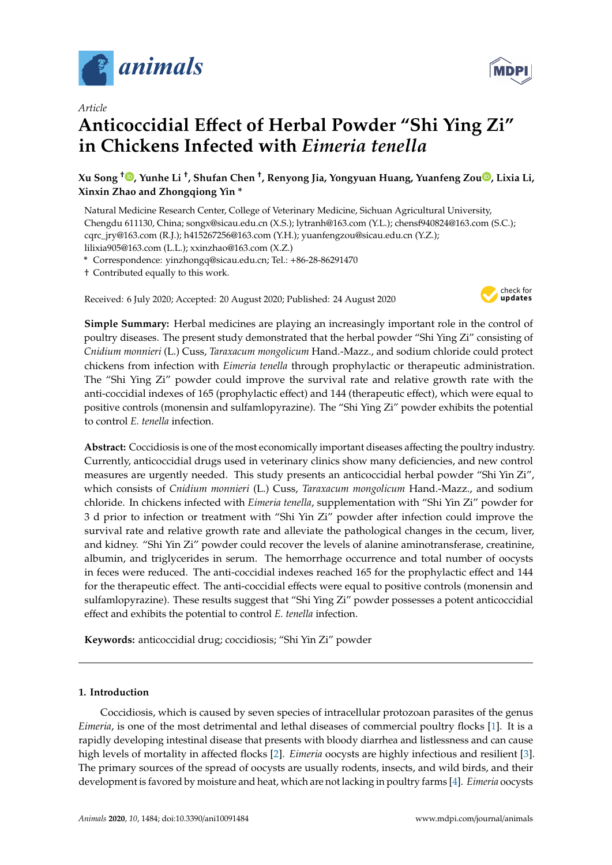

*Article*

# **Anticoccidial E**ff**ect of Herbal Powder "Shi Ying Zi" in Chickens Infected with** *Eimeria tenella*

**Xu Song** [†](https://orcid.org/0000-0003-4102-0836) **, Yunhe Li** † **, Shufan Chen** † **, Renyong Jia, Yongyuan Huang, Yuanfeng Zou [,](https://orcid.org/0000-0002-3116-1478) Lixia Li, Xinxin Zhao and Zhongqiong Yin \***

Natural Medicine Research Center, College of Veterinary Medicine, Sichuan Agricultural University, Chengdu 611130, China; songx@sicau.edu.cn (X.S.); lytranh@163.com (Y.L.); chensf940824@163.com (S.C.); cqrc\_jry@163.com (R.J.); h415267256@163.com (Y.H.); yuanfengzou@sicau.edu.cn (Y.Z.); lilixia905@163.com (L.L.); xxinzhao@163.com (X.Z.)

**\*** Correspondence: yinzhongq@sicau.edu.cn; Tel.: +86-28-86291470

† Contributed equally to this work.

Received: 6 July 2020; Accepted: 20 August 2020; Published: 24 August 2020



**Simple Summary:** Herbal medicines are playing an increasingly important role in the control of poultry diseases. The present study demonstrated that the herbal powder "Shi Ying Zi" consisting of *Cnidium monnieri* (L.) Cuss, *Taraxacum mongolicum* Hand.-Mazz., and sodium chloride could protect chickens from infection with *Eimeria tenella* through prophylactic or therapeutic administration. The "Shi Ying Zi" powder could improve the survival rate and relative growth rate with the anti-coccidial indexes of 165 (prophylactic effect) and 144 (therapeutic effect), which were equal to positive controls (monensin and sulfamlopyrazine). The "Shi Ying Zi" powder exhibits the potential to control *E. tenella* infection.

**Abstract:** Coccidiosis is one of the most economically important diseases affecting the poultry industry. Currently, anticoccidial drugs used in veterinary clinics show many deficiencies, and new control measures are urgently needed. This study presents an anticoccidial herbal powder "Shi Yin Zi", which consists of *Cnidium monnieri* (L.) Cuss, *Taraxacum mongolicum* Hand.-Mazz., and sodium chloride. In chickens infected with *Eimeria tenella*, supplementation with "Shi Yin Zi" powder for 3 d prior to infection or treatment with "Shi Yin Zi" powder after infection could improve the survival rate and relative growth rate and alleviate the pathological changes in the cecum, liver, and kidney. "Shi Yin Zi" powder could recover the levels of alanine aminotransferase, creatinine, albumin, and triglycerides in serum. The hemorrhage occurrence and total number of oocysts in feces were reduced. The anti-coccidial indexes reached 165 for the prophylactic effect and 144 for the therapeutic effect. The anti-coccidial effects were equal to positive controls (monensin and sulfamlopyrazine). These results suggest that "Shi Ying Zi" powder possesses a potent anticoccidial effect and exhibits the potential to control *E. tenella* infection.

**Keywords:** anticoccidial drug; coccidiosis; "Shi Yin Zi" powder

## **1. Introduction**

Coccidiosis, which is caused by seven species of intracellular protozoan parasites of the genus *Eimeria*, is one of the most detrimental and lethal diseases of commercial poultry flocks [\[1\]](#page-12-0). It is a rapidly developing intestinal disease that presents with bloody diarrhea and listlessness and can cause high levels of mortality in affected flocks [\[2\]](#page-12-1). *Eimeria* oocysts are highly infectious and resilient [\[3\]](#page-12-2). The primary sources of the spread of oocysts are usually rodents, insects, and wild birds, and their development is favored by moisture and heat, which are not lacking in poultry farms [\[4\]](#page-12-3). *Eimeria* oocysts

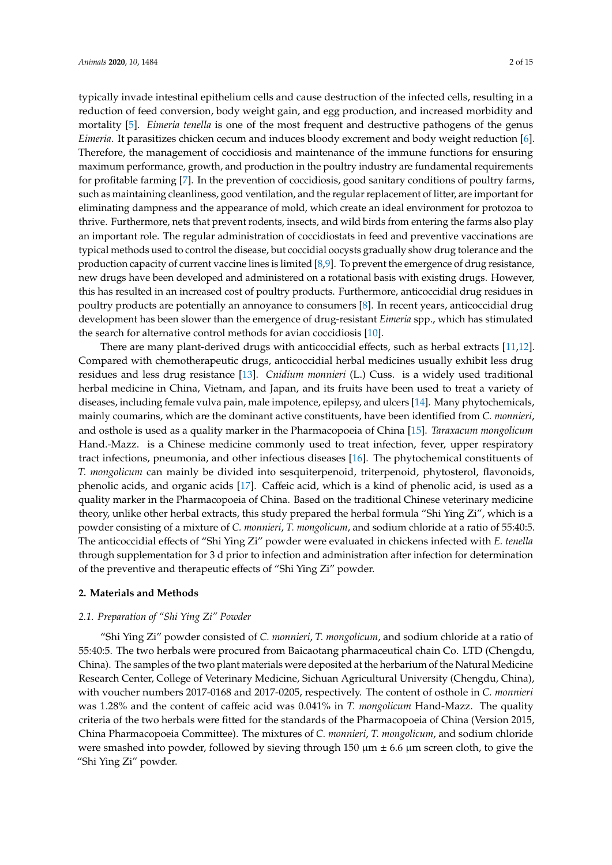typically invade intestinal epithelium cells and cause destruction of the infected cells, resulting in a reduction of feed conversion, body weight gain, and egg production, and increased morbidity and mortality [\[5\]](#page-12-4). *Eimeria tenella* is one of the most frequent and destructive pathogens of the genus *Eimeria*. It parasitizes chicken cecum and induces bloody excrement and body weight reduction [\[6\]](#page-12-5). Therefore, the management of coccidiosis and maintenance of the immune functions for ensuring maximum performance, growth, and production in the poultry industry are fundamental requirements for profitable farming [\[7\]](#page-12-6). In the prevention of coccidiosis, good sanitary conditions of poultry farms, such as maintaining cleanliness, good ventilation, and the regular replacement of litter, are important for eliminating dampness and the appearance of mold, which create an ideal environment for protozoa to thrive. Furthermore, nets that prevent rodents, insects, and wild birds from entering the farms also play an important role. The regular administration of coccidiostats in feed and preventive vaccinations are typical methods used to control the disease, but coccidial oocysts gradually show drug tolerance and the production capacity of current vaccine lines is limited [\[8](#page-12-7)[,9\]](#page-12-8). To prevent the emergence of drug resistance, new drugs have been developed and administered on a rotational basis with existing drugs. However, this has resulted in an increased cost of poultry products. Furthermore, anticoccidial drug residues in poultry products are potentially an annoyance to consumers [\[8\]](#page-12-7). In recent years, anticoccidial drug development has been slower than the emergence of drug-resistant *Eimeria* spp., which has stimulated the search for alternative control methods for avian coccidiosis [\[10\]](#page-12-9).

There are many plant-derived drugs with anticoccidial effects, such as herbal extracts [\[11,](#page-12-10)[12\]](#page-12-11). Compared with chemotherapeutic drugs, anticoccidial herbal medicines usually exhibit less drug residues and less drug resistance [\[13\]](#page-12-12). *Cnidium monnieri* (L.) Cuss. is a widely used traditional herbal medicine in China, Vietnam, and Japan, and its fruits have been used to treat a variety of diseases, including female vulva pain, male impotence, epilepsy, and ulcers [\[14\]](#page-12-13). Many phytochemicals, mainly coumarins, which are the dominant active constituents, have been identified from *C. monnieri*, and osthole is used as a quality marker in the Pharmacopoeia of China [\[15\]](#page-12-14). *Taraxacum mongolicum* Hand.-Mazz. is a Chinese medicine commonly used to treat infection, fever, upper respiratory tract infections, pneumonia, and other infectious diseases [\[16\]](#page-12-15). The phytochemical constituents of *T. mongolicum* can mainly be divided into sesquiterpenoid, triterpenoid, phytosterol, flavonoids, phenolic acids, and organic acids [\[17\]](#page-12-16). Caffeic acid, which is a kind of phenolic acid, is used as a quality marker in the Pharmacopoeia of China. Based on the traditional Chinese veterinary medicine theory, unlike other herbal extracts, this study prepared the herbal formula "Shi Ying Zi", which is a powder consisting of a mixture of *C. monnieri*, *T. mongolicum*, and sodium chloride at a ratio of 55:40:5. The anticoccidial effects of "Shi Ying Zi" powder were evaluated in chickens infected with *E. tenella* through supplementation for 3 d prior to infection and administration after infection for determination of the preventive and therapeutic effects of "Shi Ying Zi" powder.

## **2. Materials and Methods**

## *2.1. Preparation of "Shi Ying Zi" Powder*

"Shi Ying Zi" powder consisted of *C. monnieri*, *T. mongolicum*, and sodium chloride at a ratio of 55:40:5. The two herbals were procured from Baicaotang pharmaceutical chain Co. LTD (Chengdu, China). The samples of the two plant materials were deposited at the herbarium of the Natural Medicine Research Center, College of Veterinary Medicine, Sichuan Agricultural University (Chengdu, China), with voucher numbers 2017-0168 and 2017-0205, respectively. The content of osthole in *C. monnieri* was 1.28% and the content of caffeic acid was 0.041% in *T. mongolicum* Hand-Mazz. The quality criteria of the two herbals were fitted for the standards of the Pharmacopoeia of China (Version 2015, China Pharmacopoeia Committee). The mixtures of *C. monnieri*, *T. mongolicum*, and sodium chloride were smashed into powder, followed by sieving through 150  $\mu$ m  $\pm$  6.6  $\mu$ m screen cloth, to give the "Shi Ying Zi" powder.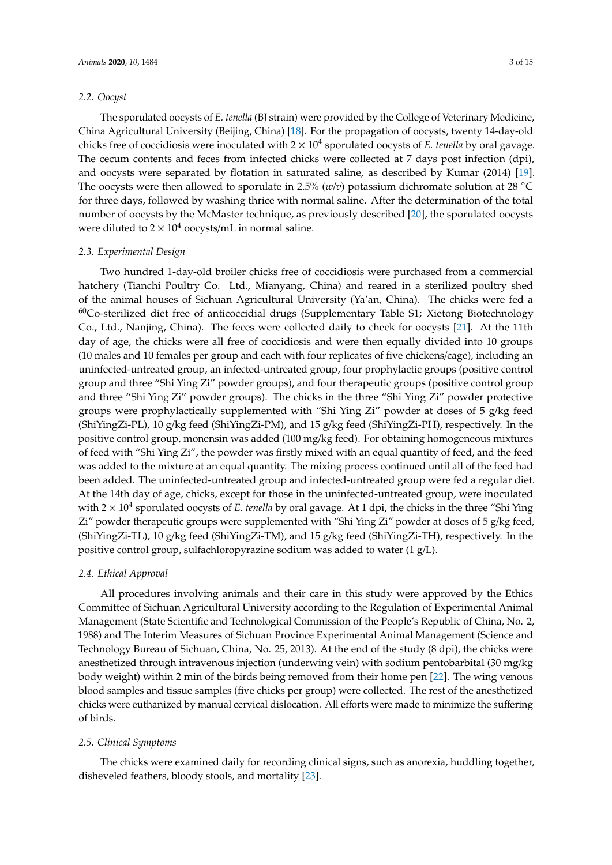## *2.2. Oocyst*

The sporulated oocysts of *E. tenella* (BJ strain) were provided by the College of Veterinary Medicine, China Agricultural University (Beijing, China) [\[18\]](#page-12-17). For the propagation of oocysts, twenty 14-day-old chicks free of coccidiosis were inoculated with  $2 \times 10^4$  sporulated oocysts of *E. tenella* by oral gavage. The cecum contents and feces from infected chicks were collected at 7 days post infection (dpi), and oocysts were separated by flotation in saturated saline, as described by Kumar (2014) [\[19\]](#page-12-18). The oocysts were then allowed to sporulate in 2.5% (*w*/*v*) potassium dichromate solution at 28 ◦C for three days, followed by washing thrice with normal saline. After the determination of the total number of oocysts by the McMaster technique, as previously described [\[20\]](#page-12-19), the sporulated oocysts were diluted to  $2 \times 10^4$  oocysts/mL in normal saline.

## *2.3. Experimental Design*

Two hundred 1-day-old broiler chicks free of coccidiosis were purchased from a commercial hatchery (Tianchi Poultry Co. Ltd., Mianyang, China) and reared in a sterilized poultry shed of the animal houses of Sichuan Agricultural University (Ya'an, China). The chicks were fed a  $60C$ o-sterilized diet free of anticoccidial drugs (Supplementary Table S1; Xietong Biotechnology Co., Ltd., Nanjing, China). The feces were collected daily to check for oocysts [\[21\]](#page-12-20). At the 11th day of age, the chicks were all free of coccidiosis and were then equally divided into 10 groups (10 males and 10 females per group and each with four replicates of five chickens/cage), including an uninfected-untreated group, an infected-untreated group, four prophylactic groups (positive control group and three "Shi Ying Zi" powder groups), and four therapeutic groups (positive control group and three "Shi Ying Zi" powder groups). The chicks in the three "Shi Ying Zi" powder protective groups were prophylactically supplemented with "Shi Ying Zi" powder at doses of 5 g/kg feed (ShiYingZi-PL), 10 g/kg feed (ShiYingZi-PM), and 15 g/kg feed (ShiYingZi-PH), respectively. In the positive control group, monensin was added (100 mg/kg feed). For obtaining homogeneous mixtures of feed with "Shi Ying Zi", the powder was firstly mixed with an equal quantity of feed, and the feed was added to the mixture at an equal quantity. The mixing process continued until all of the feed had been added. The uninfected-untreated group and infected-untreated group were fed a regular diet. At the 14th day of age, chicks, except for those in the uninfected-untreated group, were inoculated with 2 × 10<sup>4</sup> sporulated oocysts of *E. tenella* by oral gavage. At 1 dpi, the chicks in the three "Shi Ying Zi" powder therapeutic groups were supplemented with "Shi Ying Zi" powder at doses of 5 g/kg feed, (ShiYingZi-TL), 10 g/kg feed (ShiYingZi-TM), and 15 g/kg feed (ShiYingZi-TH), respectively. In the positive control group, sulfachloropyrazine sodium was added to water (1 g/L).

## *2.4. Ethical Approval*

All procedures involving animals and their care in this study were approved by the Ethics Committee of Sichuan Agricultural University according to the Regulation of Experimental Animal Management (State Scientific and Technological Commission of the People's Republic of China, No. 2, 1988) and The Interim Measures of Sichuan Province Experimental Animal Management (Science and Technology Bureau of Sichuan, China, No. 25, 2013). At the end of the study (8 dpi), the chicks were anesthetized through intravenous injection (underwing vein) with sodium pentobarbital (30 mg/kg body weight) within 2 min of the birds being removed from their home pen [\[22\]](#page-13-0). The wing venous blood samples and tissue samples (five chicks per group) were collected. The rest of the anesthetized chicks were euthanized by manual cervical dislocation. All efforts were made to minimize the suffering of birds.

#### *2.5. Clinical Symptoms*

The chicks were examined daily for recording clinical signs, such as anorexia, huddling together, disheveled feathers, bloody stools, and mortality [\[23\]](#page-13-1).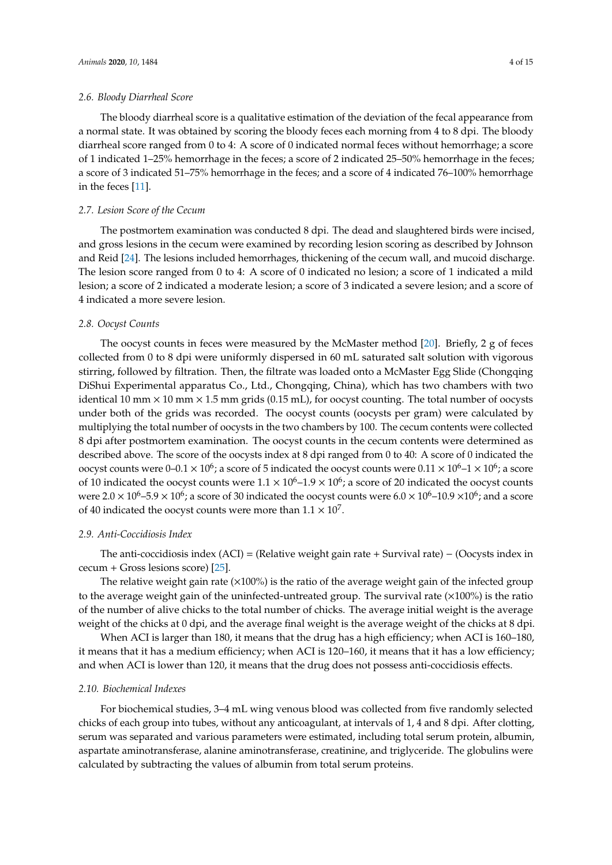## *2.6. Bloody Diarrheal Score*

The bloody diarrheal score is a qualitative estimation of the deviation of the fecal appearance from a normal state. It was obtained by scoring the bloody feces each morning from 4 to 8 dpi. The bloody diarrheal score ranged from 0 to 4: A score of 0 indicated normal feces without hemorrhage; a score of 1 indicated 1–25% hemorrhage in the feces; a score of 2 indicated 25–50% hemorrhage in the feces; a score of 3 indicated 51–75% hemorrhage in the feces; and a score of 4 indicated 76–100% hemorrhage in the feces [\[11\]](#page-12-10).

#### *2.7. Lesion Score of the Cecum*

The postmortem examination was conducted 8 dpi. The dead and slaughtered birds were incised, and gross lesions in the cecum were examined by recording lesion scoring as described by Johnson and Reid [\[24\]](#page-13-2). The lesions included hemorrhages, thickening of the cecum wall, and mucoid discharge. The lesion score ranged from 0 to 4: A score of 0 indicated no lesion; a score of 1 indicated a mild lesion; a score of 2 indicated a moderate lesion; a score of 3 indicated a severe lesion; and a score of 4 indicated a more severe lesion.

#### *2.8. Oocyst Counts*

The oocyst counts in feces were measured by the McMaster method [\[20\]](#page-12-19). Briefly, 2 g of feces collected from 0 to 8 dpi were uniformly dispersed in 60 mL saturated salt solution with vigorous stirring, followed by filtration. Then, the filtrate was loaded onto a McMaster Egg Slide (Chongqing DiShui Experimental apparatus Co., Ltd., Chongqing, China), which has two chambers with two identical 10 mm  $\times$  10 mm  $\times$  1.5 mm grids (0.15 mL), for oocyst counting. The total number of oocysts under both of the grids was recorded. The oocyst counts (oocysts per gram) were calculated by multiplying the total number of oocysts in the two chambers by 100. The cecum contents were collected 8 dpi after postmortem examination. The oocyst counts in the cecum contents were determined as described above. The score of the oocysts index at 8 dpi ranged from 0 to 40: A score of 0 indicated the oocyst counts were 0–0.1  $\times$  10<sup>6</sup>; a score of 5 indicated the oocyst counts were 0.11  $\times$  10<sup>6</sup>–1  $\times$  10<sup>6</sup>; a score of 10 indicated the oocyst counts were  $1.1 \times 10^6$ –1.9  $\times 10^6$ ; a score of 20 indicated the oocyst counts were 2.0  $\times$  10<sup>6</sup>–5.9  $\times$  10<sup>6</sup>; a score of 30 indicated the oocyst counts were 6.0  $\times$  10<sup>6</sup>–10.9  $\times$ 10<sup>6</sup>; and a score of 40 indicated the oocyst counts were more than  $1.1 \times 10^7$ .

## *2.9. Anti-Coccidiosis Index*

The anti-coccidiosis index (ACI) = (Relative weight gain rate + Survival rate) − (Oocysts index in cecum + Gross lesions score) [\[25\]](#page-13-3).

The relative weight gain rate  $(\times 100\%)$  is the ratio of the average weight gain of the infected group to the average weight gain of the uninfected-untreated group. The survival rate  $(\times 100\%)$  is the ratio of the number of alive chicks to the total number of chicks. The average initial weight is the average weight of the chicks at 0 dpi, and the average final weight is the average weight of the chicks at 8 dpi.

When ACI is larger than 180, it means that the drug has a high efficiency; when ACI is 160–180, it means that it has a medium efficiency; when ACI is 120–160, it means that it has a low efficiency; and when ACI is lower than 120, it means that the drug does not possess anti-coccidiosis effects.

#### *2.10. Biochemical Indexes*

For biochemical studies, 3–4 mL wing venous blood was collected from five randomly selected chicks of each group into tubes, without any anticoagulant, at intervals of 1, 4 and 8 dpi. After clotting, serum was separated and various parameters were estimated, including total serum protein, albumin, aspartate aminotransferase, alanine aminotransferase, creatinine, and triglyceride. The globulins were calculated by subtracting the values of albumin from total serum proteins.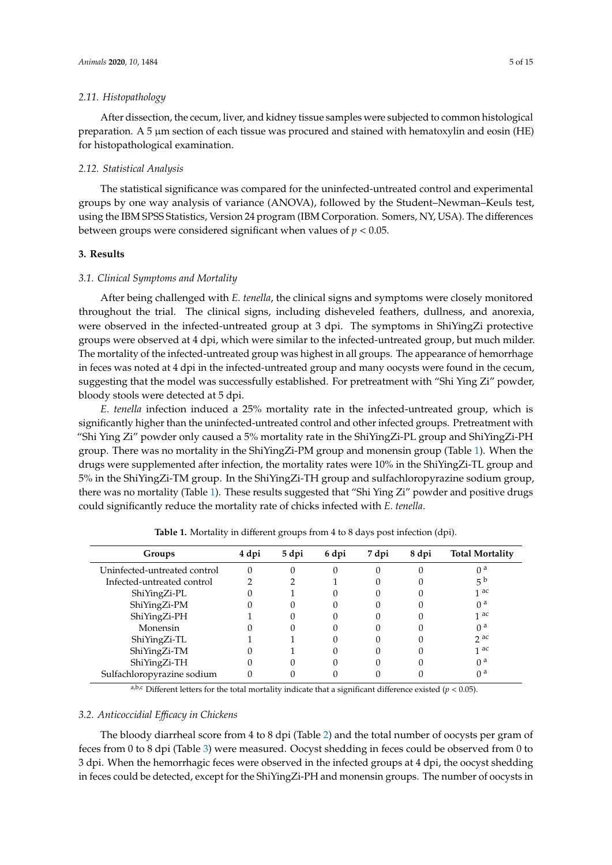## *2.11. Histopathology*

After dissection, the cecum, liver, and kidney tissue samples were subjected to common histological preparation. A 5  $\mu$ m section of each tissue was procured and stained with hematoxylin and eosin (HE) for histopathological examination.

#### *2.12. Statistical Analysis*

The statistical significance was compared for the uninfected-untreated control and experimental groups by one way analysis of variance (ANOVA), followed by the Student–Newman–Keuls test, using the IBM SPSS Statistics, Version 24 program (IBM Corporation. Somers, NY, USA). The differences between groups were considered significant when values of *p* < 0.05.

## **3. Results**

#### *3.1. Clinical Symptoms and Mortality*

After being challenged with *E. tenella*, the clinical signs and symptoms were closely monitored throughout the trial. The clinical signs, including disheveled feathers, dullness, and anorexia, were observed in the infected-untreated group at 3 dpi. The symptoms in ShiYingZi protective groups were observed at 4 dpi, which were similar to the infected-untreated group, but much milder. The mortality of the infected-untreated group was highest in all groups. The appearance of hemorrhage in feces was noted at 4 dpi in the infected-untreated group and many oocysts were found in the cecum, suggesting that the model was successfully established. For pretreatment with "Shi Ying Zi" powder, bloody stools were detected at 5 dpi.

*E. tenella* infection induced a 25% mortality rate in the infected-untreated group, which is significantly higher than the uninfected-untreated control and other infected groups. Pretreatment with "Shi Ying Zi" powder only caused a 5% mortality rate in the ShiYingZi-PL group and ShiYingZi-PH group. There was no mortality in the ShiYingZi-PM group and monensin group (Table [1\)](#page-4-0). When the drugs were supplemented after infection, the mortality rates were 10% in the ShiYingZi-TL group and 5% in the ShiYingZi-TM group. In the ShiYingZi-TH group and sulfachloropyrazine sodium group, there was no mortality (Table [1\)](#page-4-0). These results suggested that "Shi Ying Zi" powder and positive drugs could significantly reduce the mortality rate of chicks infected with *E. tenella*.

<span id="page-4-0"></span>

| Groups                       | 4 dpi | 5 dpi | 6 dpi | 7 dpi | 8 dpi | <b>Total Mortality</b> |
|------------------------------|-------|-------|-------|-------|-------|------------------------|
| Uninfected-untreated control |       |       | 0     |       |       | 0 <sup>a</sup>         |
| Infected-untreated control   |       |       |       |       |       | 5 <sup>b</sup>         |
| ShiYingZi-PL                 |       |       |       |       |       | 1 ac                   |
| ShiYingZi-PM                 |       |       |       |       |       | 0 <sup>a</sup>         |
| ShiYingZi-PH                 |       |       |       |       |       | 1 ac                   |
| Monensin                     |       |       |       |       |       | 0 <sup>a</sup>         |
| ShiYingZi-TL                 |       |       |       |       |       | $2$ ac                 |
| ShiYingZi-TM                 |       |       |       |       |       | 1 ac                   |
| ShiYingZi-TH                 |       |       |       |       |       | 0 <sup>a</sup>         |
| Sulfachloropyrazine sodium   |       |       |       |       |       | 0 <sup>a</sup>         |

**Table 1.** Mortality in different groups from 4 to 8 days post infection (dpi).

a,b,c Different letters for the total mortality indicate that a significant difference existed ( $p < 0.05$ ).

#### *3.2. Anticoccidial E*ffi*cacy in Chickens*

The bloody diarrheal score from 4 to 8 dpi (Table [2\)](#page-5-0) and the total number of oocysts per gram of feces from 0 to 8 dpi (Table [3\)](#page-5-1) were measured. Oocyst shedding in feces could be observed from 0 to 3 dpi. When the hemorrhagic feces were observed in the infected groups at 4 dpi, the oocyst shedding in feces could be detected, except for the ShiYingZi-PH and monensin groups. The number of oocysts in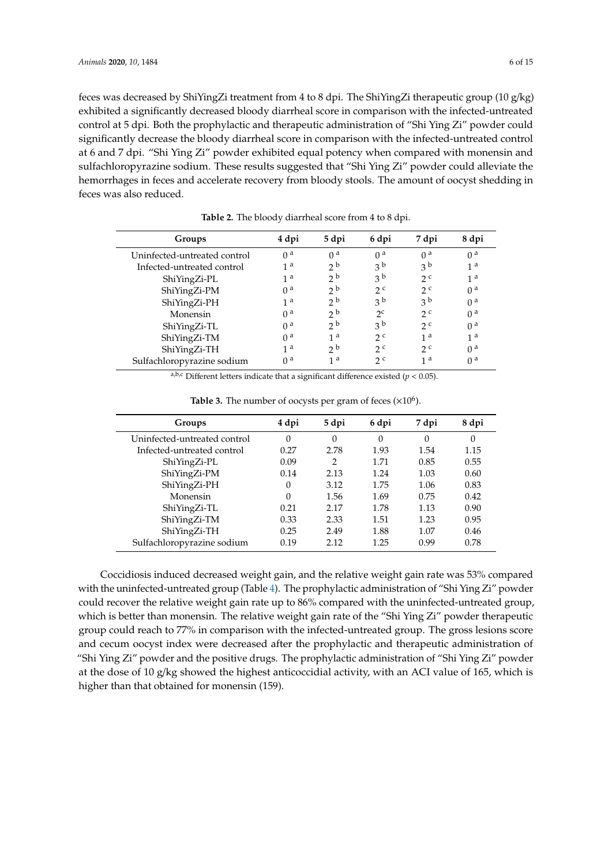feces was decreased by ShiYingZi treatment from 4 to 8 dpi. The ShiYingZi therapeutic group (10 g/kg) exhibited a significantly decreased bloody diarrheal score in comparison with the infected-untreated control at 5 dpi. Both the prophylactic and therapeutic administration of "Shi Ying Zi" powder could significantly decrease the bloody diarrheal score in comparison with the infected-untreated control at 6 and 7 dpi. "Shi Ying Zi" powder exhibited equal potency when compared with monensin and sulfachloropyrazine sodium. These results suggested that "Shi Ying Zi" powder could alleviate the hemorrhages in feces and accelerate recovery from bloody stools. The amount of oocyst shedding in feces was also reduced.

<span id="page-5-0"></span>

| Groups                       | 4 dpi          | 5 dpi          | 6 dpi          | 7 dpi          | 8 dpi          |
|------------------------------|----------------|----------------|----------------|----------------|----------------|
| Uninfected-untreated control | $\theta$ a     | 0 <sup>a</sup> | 0 <sup>a</sup> | 0 <sup>a</sup> | 0 <sup>a</sup> |
| Infected-untreated control   | 1 <sup>a</sup> | 2 <sub>b</sub> | 3 <sup>b</sup> | 3 <sup>b</sup> | 1 <sup>a</sup> |
| ShiYingZi-PL                 | 1 <sup>a</sup> | 2 <sub>b</sub> | 3 <sup>b</sup> | 2c             | 1 <sup>a</sup> |
| ShiYingZi-PM                 | 0 <sup>a</sup> | 2 <sub>b</sub> | 2c             | 2 <sup>c</sup> | 0 <sup>a</sup> |
| ShiYingZi-PH                 | 1 <sup>a</sup> | 2 <sub>b</sub> | 3 <sup>b</sup> | 3 <sup>b</sup> | 0 <sup>a</sup> |
| Monensin                     | $\theta$ a     | 2 <sub>b</sub> | $2^c$          | 2c             | 0 <sup>a</sup> |
| ShiYingZi-TL                 | 0 <sup>a</sup> | 2 <sub>b</sub> | 3 <sup>b</sup> | 2c             | 0 <sup>a</sup> |
| ShiYingZi-TM                 | 0 <sup>a</sup> | 1a             | 2c             | 1 a            | 1 <sup>a</sup> |
| ShiYingZi-TH                 | 1 <sup>a</sup> | 2 <sub>b</sub> | 2c             | 2c             | 0 <sup>a</sup> |
| Sulfachloropyrazine sodium   | 0 <sup>a</sup> | 1 a            | 2c             | 1 <sup>a</sup> | 0 <sup>a</sup> |

**Table 2.** The bloody diarrheal score from 4 to 8 dpi.

a,b,c Different letters indicate that a significant difference existed ( $p < 0.05$ ).

<span id="page-5-1"></span>

| Groups                       | 4 dpi    | 5 dpi          | 6 dpi    | 7 dpi    | 8 dpi    |
|------------------------------|----------|----------------|----------|----------|----------|
| Uninfected-untreated control | $\theta$ | $\Omega$       | $\Omega$ | $\Omega$ | $\theta$ |
| Infected-untreated control   | 0.27     | 2.78           | 1.93     | 1.54     | 1.15     |
| ShiYingZi-PL                 | 0.09     | $\overline{2}$ | 1.71     | 0.85     | 0.55     |
| ShiYingZi-PM                 | 0.14     | 2.13           | 1.24     | 1.03     | 0.60     |
| ShiYingZi-PH                 | $\Omega$ | 3.12           | 1.75     | 1.06     | 0.83     |
| Monensin                     | $\Omega$ | 1.56           | 1.69     | 0.75     | 0.42     |
| ShiYingZi-TL                 | 0.21     | 2.17           | 1.78     | 1.13     | 0.90     |
| ShiYingZi-TM                 | 0.33     | 2.33           | 1.51     | 1.23     | 0.95     |
| ShiYingZi-TH                 | 0.25     | 2.49           | 1.88     | 1.07     | 0.46     |
| Sulfachloropyrazine sodium   | 0.19     | 2.12           | 1.25     | 0.99     | 0.78     |
|                              |          |                |          |          |          |

Table 3. The number of oocysts per gram of feces  $(\times 10^6)$ .

Coccidiosis induced decreased weight gain, and the relative weight gain rate was 53% compared with the uninfected-untreated group (Table [4\)](#page-6-0). The prophylactic administration of "Shi Ying Zi" powder could recover the relative weight gain rate up to 86% compared with the uninfected-untreated group, which is better than monensin. The relative weight gain rate of the "Shi Ying Zi" powder therapeutic group could reach to 77% in comparison with the infected-untreated group. The gross lesions score and cecum oocyst index were decreased after the prophylactic and therapeutic administration of "Shi Ying Zi" powder and the positive drugs. The prophylactic administration of "Shi Ying Zi" powder at the dose of 10 g/kg showed the highest anticoccidial activity, with an ACI value of 165, which is higher than that obtained for monensin (159).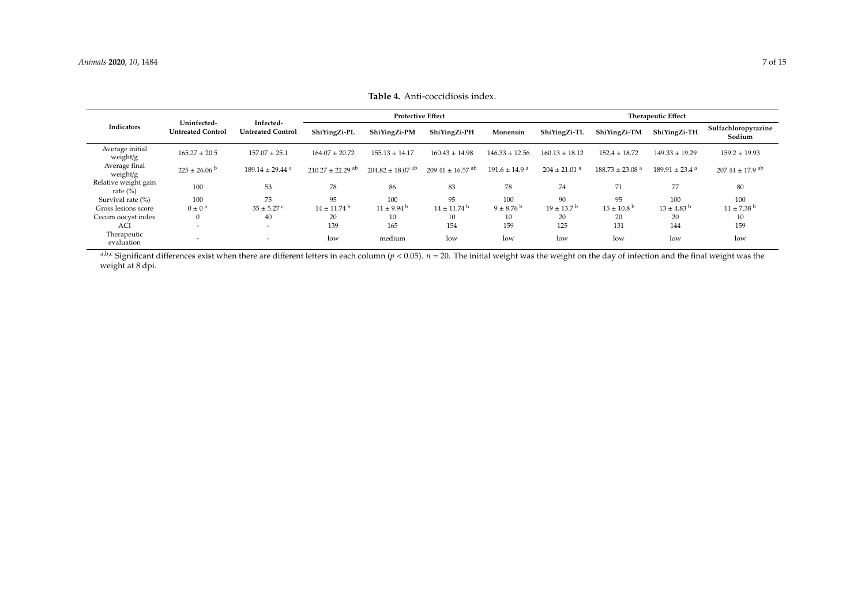|                                      |                                         |                                       |                                  |                                  | <b>Protective Effect</b>         |                               |                              |                                 | <b>Therapeutic Effect</b>      |                                 |
|--------------------------------------|-----------------------------------------|---------------------------------------|----------------------------------|----------------------------------|----------------------------------|-------------------------------|------------------------------|---------------------------------|--------------------------------|---------------------------------|
| Indicators                           | Uninfected-<br><b>Untreated Control</b> | Infected-<br><b>Untreated Control</b> | ShiYingZi-PL                     | ShiYingZi-PM                     | ShiYingZi-PH                     | Monensin                      | ShiYingZi-TL                 | ShiYingZi-TM                    | ShiYingZi-TH                   | Sulfachloropyrazine<br>Sodium   |
| Average initial<br>weight/g          | $165.27 \pm 20.5$                       | $157.07 \pm 25.1$                     | $164.07 \pm 20.72$               | $155.13 \pm 14.17$               | $160.43 \pm 14.98$               | $146.33 \pm 12.56$            | $160.13 \pm 18.12$           | $152.4 \pm 18.72$               | $149.33 \pm 19.29$             | $159.2 \pm 19.93$               |
| Average final<br>weight/g            | $225 \pm 26.06^{\circ}$                 | $189.14 \pm 29.44$ <sup>a</sup>       | $210.27 \pm 22.29$ <sup>ab</sup> | $204.82 \pm 18.07$ <sup>ab</sup> | $209.41 \pm 16.57$ <sup>ab</sup> | $191.6 \pm 14.9$ <sup>a</sup> | $204 \pm 21.01$ <sup>a</sup> | $188.73 \pm 23.08$ <sup>a</sup> | $189.91 \pm 23.4$ <sup>a</sup> | $207.44 \pm 17.9$ <sup>ab</sup> |
| Relative weight gain<br>rate $(\% )$ | 100                                     | 53                                    | 78                               | 86                               | 83                               | 78                            | 74                           | 71                              | 77                             | 80                              |
| Survival rate (%)                    | 100                                     | 75                                    | 95                               | 100                              | 95                               | 100                           | 90                           | 95                              | 100                            | 100                             |
| Gross lesions score                  | $0 \pm 0$ <sup>a</sup>                  | $35 \pm 5.27$ c                       | $14 \pm 11.74$ <sup>b</sup>      | $11 \pm 9.94$ b                  | $14 \pm 11.74$ <sup>b</sup>      | $9 \pm 8.76^{\circ}$          | $19 \pm 13.7^{\mathrm{b}}$   | $15 \pm 10.8^{\mathrm{b}}$      | $13 \pm 4.83$ <sup>b</sup>     | $11 \pm 7.38$ b                 |
| Cecum oocyst index                   |                                         | 40                                    | 20                               | 10                               | 10                               | ΙU                            | 20                           | 20                              | 20                             | 10                              |
| <b>ACI</b>                           | $\overline{\phantom{a}}$                | $\overline{\phantom{0}}$              | 139                              | 165                              | 154                              | 159                           | 125                          | 131                             | 144                            | 159                             |
| Therapeutic<br>evaluation            |                                         |                                       | low                              | medium                           | low                              | low                           | low                          | low                             | low                            | low                             |

**Table 4.** Anti-coccidiosis index.

<span id="page-6-0"></span>a,b.c Significant differences exist when there are different letters in each column (*p* < 0.05). *n* = 20. The initial weight was the weight on the day of infection and the final weight was the weight at 8 dpi.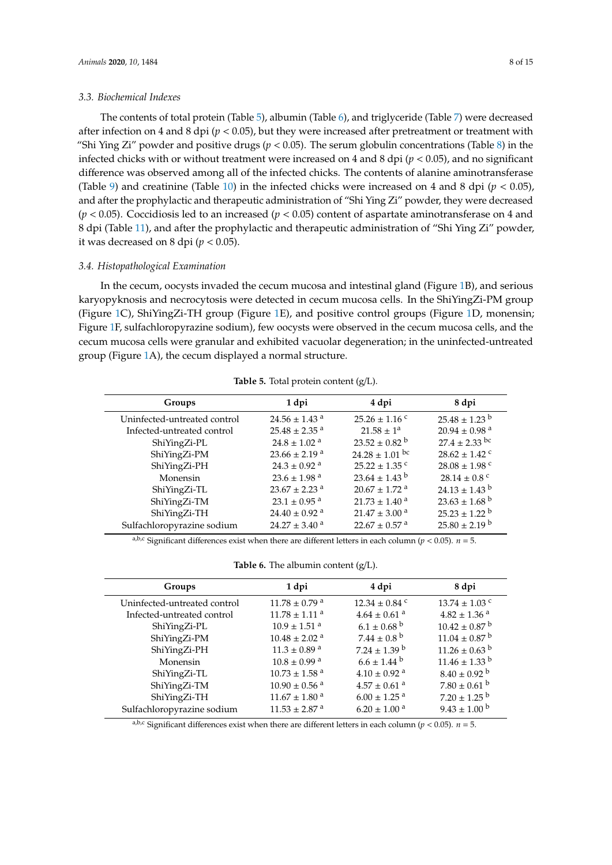The contents of total protein (Table [5\)](#page-7-0), albumin (Table [6\)](#page-7-1), and triglyceride (Table [7\)](#page-8-0) were decreased after infection on 4 and 8 dpi ( $p < 0.05$ ), but they were increased after pretreatment or treatment with "Shi Ying Zi" powder and positive drugs ( $p < 0.05$ ). The serum globulin concentrations (Table [8\)](#page-8-1) in the infected chicks with or without treatment were increased on 4 and 8 dpi (*p* < 0.05), and no significant difference was observed among all of the infected chicks. The contents of alanine aminotransferase (Table [9\)](#page-8-2) and creatinine (Table [10\)](#page-9-0) in the infected chicks were increased on 4 and 8 dpi  $(p < 0.05)$ , and after the prophylactic and therapeutic administration of "Shi Ying Zi" powder, they were decreased (*p* < 0.05). Coccidiosis led to an increased (*p* < 0.05) content of aspartate aminotransferase on 4 and 8 dpi (Table [11\)](#page-9-1), and after the prophylactic and therapeutic administration of "Shi Ying Zi" powder, it was decreased on 8 dpi  $(p < 0.05)$ .

## *3.4. Histopathological Examination*

In the cecum, oocysts invaded the cecum mucosa and intestinal gland (Figure [1B](#page-10-0)), and serious karyopyknosis and necrocytosis were detected in cecum mucosa cells. In the ShiYingZi-PM group (Figure [1C](#page-10-0)), ShiYingZi-TH group (Figure [1E](#page-10-0)), and positive control groups (Figure [1D](#page-10-0), monensin; Figure [1F](#page-10-0), sulfachloropyrazine sodium), few oocysts were observed in the cecum mucosa cells, and the cecum mucosa cells were granular and exhibited vacuolar degeneration; in the uninfected-untreated group (Figure [1A](#page-10-0)), the cecum displayed a normal structure.

<span id="page-7-0"></span>

| Groups                       | 1 dpi                         | 4 dpi                         | 8 dpi                         |
|------------------------------|-------------------------------|-------------------------------|-------------------------------|
| Uninfected-untreated control | $24.56 \pm 1.43$ <sup>a</sup> | $25.26 \pm 1.16$ c            | $25.48 \pm 1.23$ <sup>b</sup> |
| Infected-untreated control   | $25.48 \pm 2.35$ <sup>a</sup> | $21.58 \pm 1^a$               | $20.94 \pm 0.98$ <sup>a</sup> |
| ShiYingZi-PL                 | $24.8 \pm 1.02$ <sup>a</sup>  | $23.52 \pm 0.82$ <sup>b</sup> | $27.4 \pm 2.33$ bc            |
| ShiYingZi-PM                 | $23.66 \pm 2.19$ <sup>a</sup> | $24.28 \pm 1.01$ bc           | $28.62 \pm 1.42$ °            |
| ShiYingZi-PH                 | $24.3 \pm 0.92$ <sup>a</sup>  | $25.22 \pm 1.35$ c            | $28.08 \pm 1.98$ c            |
| Monensin                     | $23.6 \pm 1.98$ <sup>a</sup>  | $23.64 \pm 1.43$ <sup>b</sup> | $28.14 \pm 0.8$ <sup>c</sup>  |
| ShiYingZi-TL                 | $23.67 \pm 2.23$ <sup>a</sup> | $20.67 \pm 1.72$ <sup>a</sup> | $24.13 \pm 1.43$ b            |
| ShiYingZi-TM                 | $23.1 \pm 0.95$ <sup>a</sup>  | $21.73 \pm 1.40$ <sup>a</sup> | $23.63 \pm 1.68$ <sup>b</sup> |
| ShiYingZi-TH                 | $24.40 \pm 0.92$ <sup>a</sup> | $21.47 \pm 3.00$ <sup>a</sup> | $25.23 \pm 1.22$ <sup>b</sup> |
| Sulfachloropyrazine sodium   | $24.27 \pm 3.40$ <sup>a</sup> | $22.67 \pm 0.57$ <sup>a</sup> | $25.80 \pm 2.19^{\mathrm{b}}$ |

**Table 5.** Total protein content (g/L).

a,b,c Significant differences exist when there are different letters in each column ( $p < 0.05$ ).  $n = 5$ .

**Table 6.** The albumin content (g/L).

<span id="page-7-1"></span>

| Groups                       | 1 dpi                         | 4 dpi                        | 8 dpi                         |
|------------------------------|-------------------------------|------------------------------|-------------------------------|
| Uninfected-untreated control | $11.78 \pm 0.79$ <sup>a</sup> | $12.34 \pm 0.84$ °           | $13.74 \pm 1.03$ c            |
| Infected-untreated control   | $11.78 \pm 1.11$ <sup>a</sup> | $4.64 \pm 0.61$ <sup>a</sup> | $4.82 \pm 1.36$ <sup>a</sup>  |
| ShiYingZi-PL                 | $10.9 \pm 1.51$ <sup>a</sup>  | $6.1 \pm 0.68$ <sup>b</sup>  | $10.42 \pm 0.87$ <sup>b</sup> |
| ShiYingZi-PM                 | $10.48 \pm 2.02$ <sup>a</sup> | $7.44 \pm 0.8^{\text{ b}}$   | $11.04 \pm 0.87$ <sup>b</sup> |
| ShiYingZi-PH                 | $11.3 \pm 0.89$ <sup>a</sup>  | $7.24 \pm 1.39$ <sup>b</sup> | $11.26 \pm 0.63$ <sup>b</sup> |
| Monensin                     | $10.8 \pm 0.99$ <sup>a</sup>  | $6.6 \pm 1.44$ b             | $11.46 \pm 1.33$ b            |
| ShiYingZi-TL                 | $10.73 \pm 1.58$ <sup>a</sup> | $4.10 \pm 0.92$ <sup>a</sup> | $8.40 \pm 0.92$ <sup>b</sup>  |
| ShiYingZi-TM                 | $10.90 \pm 0.56$ <sup>a</sup> | $4.57 \pm 0.61$ <sup>a</sup> | $7.80 \pm 0.61$ b             |
| ShiYingZi-TH                 | $11.67 \pm 1.80$ <sup>a</sup> | $6.00 \pm 1.25$ <sup>a</sup> | $7.20 \pm 1.25$ <sup>b</sup>  |
| Sulfachloropyrazine sodium   | $11.53 \pm 2.87$ <sup>a</sup> | $6.20 \pm 1.00$ <sup>a</sup> | $9.43 \pm 1.00^{\circ}$       |
|                              |                               |                              |                               |

 $a,b,c$  Significant differences exist when there are different letters in each column ( $p < 0.05$ ).  $n = 5$ .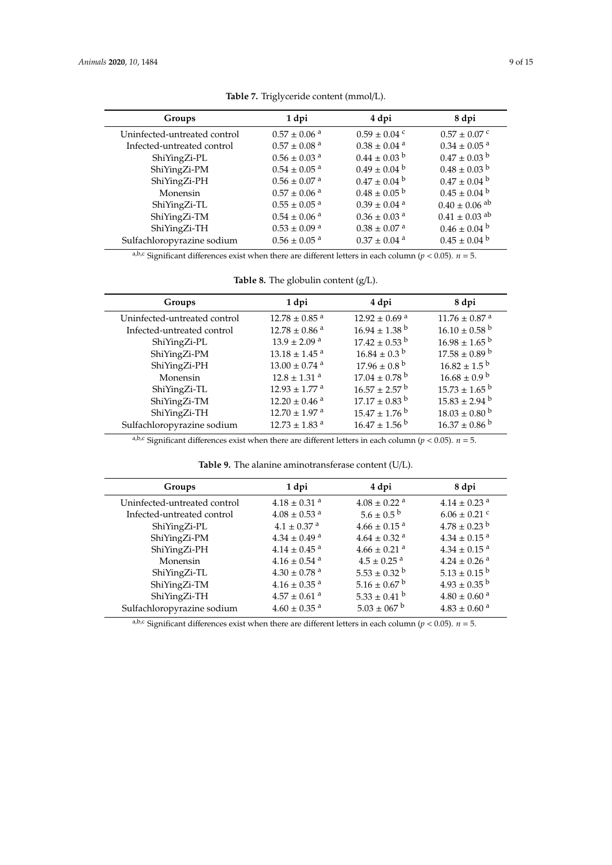<span id="page-8-0"></span>

| Groups                       | 1 dpi                        | 4 dpi                        | 8 dpi                         |
|------------------------------|------------------------------|------------------------------|-------------------------------|
| Uninfected-untreated control | $0.57 \pm 0.06$ <sup>a</sup> | $0.59 \pm 0.04$ c            | $0.57 \pm 0.07$ c             |
| Infected-untreated control   | $0.57 \pm 0.08$ <sup>a</sup> | $0.38 \pm 0.04$ <sup>a</sup> | $0.34 \pm 0.05$ <sup>a</sup>  |
| ShiYingZi-PL                 | $0.56 \pm 0.03$ <sup>a</sup> | $0.44 \pm 0.03$ <sup>b</sup> | $0.47 \pm 0.03$ b             |
| ShiYingZi-PM                 | $0.54 \pm 0.05$ <sup>a</sup> | $0.49 \pm 0.04^{\mathrm{b}}$ | $0.48 \pm 0.03$ b             |
| ShiYingZi-PH                 | $0.56 \pm 0.07$ <sup>a</sup> | $0.47 \pm 0.04^{\mathrm{b}}$ | $0.47 \pm 0.04$ b             |
| Monensin                     | $0.57 \pm 0.06$ <sup>a</sup> | $0.48 \pm 0.05$ <sup>b</sup> | $0.45 \pm 0.04^{\mathrm{b}}$  |
| ShiYingZi-TL                 | $0.55 \pm 0.05$ <sup>a</sup> | $0.39 \pm 0.04$ <sup>a</sup> | $0.40 \pm 0.06$ <sup>ab</sup> |
| ShiYingZi-TM                 | $0.54 \pm 0.06$ <sup>a</sup> | $0.36 \pm 0.03$ <sup>a</sup> | $0.41 \pm 0.03$ <sup>ab</sup> |
| ShiYingZi-TH                 | $0.53 \pm 0.09$ <sup>a</sup> | $0.38 \pm 0.07$ <sup>a</sup> | $0.46 \pm 0.04^{\mathrm{b}}$  |
| Sulfachloropyrazine sodium   | $0.56 \pm 0.05$ <sup>a</sup> | $0.37 \pm 0.04$ <sup>a</sup> | $0.45 \pm 0.04^{\mathrm{b}}$  |
|                              |                              |                              |                               |

**Table 7.** Triglyceride content (mmol/L).

a,b,c Significant differences exist when there are different letters in each column ( $p < 0.05$ ).  $n = 5$ .

**Table 8.** The globulin content (g/L).

<span id="page-8-1"></span>

| Groups                       | 1 dpi                         | 4 dpi                         | 8 dpi                         |
|------------------------------|-------------------------------|-------------------------------|-------------------------------|
| Uninfected-untreated control | $12.78 \pm 0.85$ <sup>a</sup> | $12.92 \pm 0.69$ <sup>a</sup> | $11.76 \pm 0.87$ <sup>a</sup> |
| Infected-untreated control   | $12.78 \pm 0.86$ <sup>a</sup> | $16.94 \pm 1.38$ <sup>b</sup> | $16.10 \pm 0.58$ <sup>b</sup> |
| ShiYingZi-PL                 | $13.9 \pm 2.09$ <sup>a</sup>  | $17.42 \pm 0.53$ b            | $16.98 \pm 1.65$ b            |
| ShiYingZi-PM                 | $13.18 \pm 1.45$ <sup>a</sup> | $16.84 \pm 0.3^{\mathrm{b}}$  | $17.58 \pm 0.89$ b            |
| ShiYingZi-PH                 | $13.00 \pm 0.74$ <sup>a</sup> | $17.96 \pm 0.8^{\mathrm{b}}$  | $16.82 \pm 1.5^{\mathrm{b}}$  |
| Monensin                     | $12.8 \pm 1.31$ <sup>a</sup>  | $17.04 \pm 0.78$ <sup>b</sup> | $16.68 \pm 0.9^{\mathrm{b}}$  |
| ShiYingZi-TL                 | $12.93 \pm 1.77$ <sup>a</sup> | $16.57 \pm 2.57$ b            | $15.73 \pm 1.65$ <sup>b</sup> |
| ShiYingZi-TM                 | $12.20 \pm 0.46$ <sup>a</sup> | $17.17 \pm 0.83$ <sup>b</sup> | $15.83 \pm 2.94$ <sup>b</sup> |
| ShiYingZi-TH                 | $12.70 \pm 1.97$ <sup>a</sup> | $15.47 \pm 1.76$ b            | $18.03 \pm 0.80$ b            |
| Sulfachloropyrazine sodium   | $12.73 \pm 1.83$ <sup>a</sup> | $16.47 \pm 1.56^{\mathrm{b}}$ | $16.37 \pm 0.86$ b            |

<sup>a,b,c</sup> Significant differences exist when there are different letters in each column ( $p < 0.05$ ).  $n = 5$ .

**Table 9.** The alanine aminotransferase content (U/L).

<span id="page-8-2"></span>

| Groups                       | 1 dpi                        | 4 dpi                        | 8 dpi                        |
|------------------------------|------------------------------|------------------------------|------------------------------|
| Uninfected-untreated control | $4.18 \pm 0.31$ <sup>a</sup> | $4.08 \pm 0.22$ <sup>a</sup> | $4.14 \pm 0.23$ <sup>a</sup> |
| Infected-untreated control   | $4.08 \pm 0.53$ <sup>a</sup> | $5.6 \pm 0.5^{\circ}$        | $6.06 \pm 0.21$ c            |
| ShiYingZi-PL                 | $4.1 \pm 0.37$ <sup>a</sup>  | $4.66 \pm 0.15$ <sup>a</sup> | $4.78 \pm 0.23$ b            |
| ShiYingZi-PM                 | $4.34 \pm 0.49$ <sup>a</sup> | $4.64 \pm 0.32$ <sup>a</sup> | $4.34 \pm 0.15$ <sup>a</sup> |
| ShiYingZi-PH                 | $4.14 \pm 0.45$ <sup>a</sup> | $4.66 \pm 0.21$ <sup>a</sup> | $4.34 \pm 0.15$ <sup>a</sup> |
| Monensin                     | $4.16 \pm 0.54$ <sup>a</sup> | $4.5 \pm 0.25$ <sup>a</sup>  | $4.24 \pm 0.26$ <sup>a</sup> |
| ShiYingZi-TL                 | $4.30 \pm 0.78$ <sup>a</sup> | $5.53 \pm 0.32$ <sup>b</sup> | $5.13 \pm 0.15$ <sup>b</sup> |
| ShiYingZi-TM                 | $4.16 \pm 0.35$ <sup>a</sup> | $5.16 \pm 0.67$ <sup>b</sup> | $4.93 \pm 0.35$ <sup>b</sup> |
| ShiYingZi-TH                 | $4.57 \pm 0.61$ <sup>a</sup> | $5.33 \pm 0.41$ b            | $4.80 \pm 0.60$ <sup>a</sup> |
| Sulfachloropyrazine sodium   | $4.60 \pm 0.35$ <sup>a</sup> | $5.03 \pm 067$ b             | $4.83 \pm 0.60$ <sup>a</sup> |
|                              |                              |                              |                              |

a,b,c Significant differences exist when there are different letters in each column ( $p < 0.05$ ).  $n = 5$ .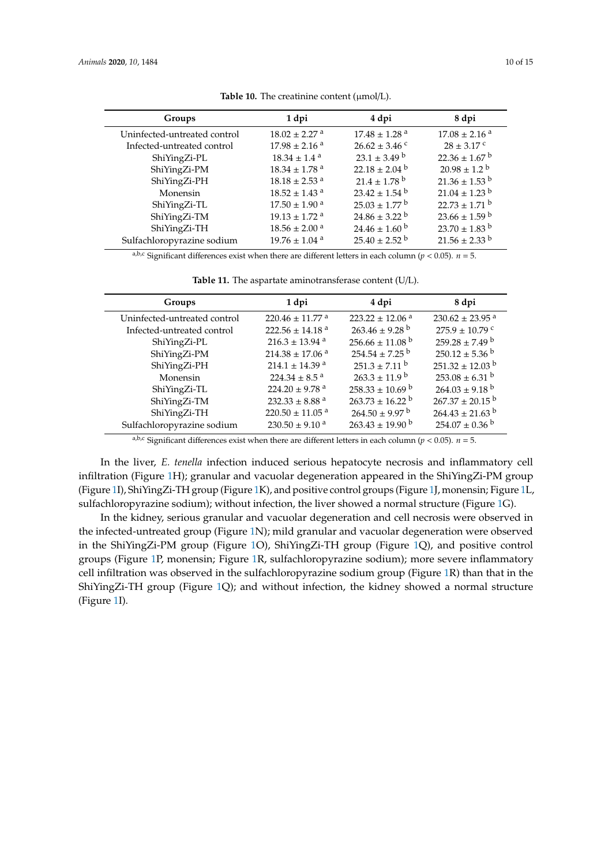<span id="page-9-0"></span>

| Groups                       | 1 dpi                         | 4 dpi                         | 8 dpi                         |
|------------------------------|-------------------------------|-------------------------------|-------------------------------|
| Uninfected-untreated control | $18.02 \pm 2.27$ <sup>a</sup> | $17.48 \pm 1.28$ <sup>a</sup> | $17.08 \pm 2.16$ <sup>a</sup> |
| Infected-untreated control   | $17.98 \pm 2.16$ <sup>a</sup> | $26.62 \pm 3.46$ c            | $28 \pm 3.17$ c               |
| ShiYingZi-PL                 | $18.34 \pm 1.4$ <sup>a</sup>  | $23.1 \pm 3.49$ b             | $22.36 \pm 1.67$ <sup>b</sup> |
| ShiYingZi-PM                 | $18.34 \pm 1.78$ <sup>a</sup> | $22.18 \pm 2.04$ b            | $20.98 \pm 1.2^{\circ}$       |
| ShiYingZi-PH                 | $18.18 \pm 2.53$ <sup>a</sup> | $21.4 \pm 1.78$ <sup>b</sup>  | $21.36 \pm 1.53$ <sup>b</sup> |
| Monensin                     | $18.52 \pm 1.43$ <sup>a</sup> | $23.42 \pm 1.54$ <sup>b</sup> | $21.04 \pm 1.23$ <sup>b</sup> |
| ShiYingZi-TL                 | $17.50 \pm 1.90$ <sup>a</sup> | $25.03 \pm 1.77$ b            | $22.73 \pm 1.71$ b            |
| ShiYingZi-TM                 | $19.13 \pm 1.72$ <sup>a</sup> | $24.86 \pm 3.22$ <sup>b</sup> | $23.66 \pm 1.59$ b            |
| ShiYingZi-TH                 | $18.56 \pm 2.00$ <sup>a</sup> | $24.46 \pm 1.60^{\mathrm{b}}$ | $23.70 \pm 1.83$ <sup>b</sup> |
| Sulfachloropyrazine sodium   | $19.76 \pm 1.04$ <sup>a</sup> | $25.40 \pm 2.52$ <sup>b</sup> | $21.56 \pm 2.33$ b            |

Table 10. The creatinine content ( $\mu$ mol/L).

a,b,c Significant differences exist when there are different letters in each column ( $p < 0.05$ ).  $n = 5$ .

**Table 11.** The aspartate aminotransferase content (U/L).

<span id="page-9-1"></span>

| Groups                       | 1 dpi                           | 4 dpi                           | 8 dpi                           |
|------------------------------|---------------------------------|---------------------------------|---------------------------------|
| Uninfected-untreated control | $220.46 \pm 11.77$ <sup>a</sup> | $223.22 \pm 12.06$ <sup>a</sup> | $230.62 \pm 23.95$ <sup>a</sup> |
| Infected-untreated control   | $222.56 \pm 14.18$ <sup>a</sup> | $263.46 \pm 9.28$ <sup>b</sup>  | $275.9 \pm 10.79$ <sup>c</sup>  |
| ShiYingZi-PL                 | $216.3 \pm 13.94$ <sup>a</sup>  | $256.66 \pm 11.08$ <sup>b</sup> | $259.28 \pm 7.49$ b             |
| ShiYingZi-PM                 | $214.38 \pm 17.06$ <sup>a</sup> | $254.54 \pm 7.25$ <sup>b</sup>  | $250.12 \pm 5.36$ <sup>b</sup>  |
| ShiYingZi-PH                 | $214.1 \pm 14.39$ <sup>a</sup>  | $251.3 \pm 7.11^{\mathrm{b}}$   | $251.32 \pm 12.03$ <sup>b</sup> |
| Monensin                     | $224.34 \pm 8.5$ <sup>a</sup>   | $263.3 \pm 11.9^{\mathrm{b}}$   | $253.08 \pm 6.31$ b             |
| ShiYingZi-TL                 | 224.20 ± 9.78 $^{\rm a}$        | $258.33 \pm 10.69$ b            | $264.03 \pm 9.18$ <sup>b</sup>  |
| ShiYingZi-TM                 | 232.33 $\pm$ 8.88 <sup>a</sup>  | $263.73 \pm 16.22$ <sup>b</sup> | $267.37 \pm 20.15$ <sup>b</sup> |
| ShiYingZi-TH                 | $220.50 \pm 11.05$ <sup>a</sup> | $264.50 \pm 9.97$ <sup>b</sup>  | $264.43 \pm 21.63$ <sup>b</sup> |
| Sulfachloropyrazine sodium   | $230.50 \pm 9.10$ <sup>a</sup>  | $263.43 \pm 19.90^{\mathrm{b}}$ | $254.07 \pm 0.36$ <sup>b</sup>  |

a,b,c Significant differences exist when there are different letters in each column ( $p < 0.05$ ).  $n = 5$ .

In the liver, *E. tenella* infection induced serious hepatocyte necrosis and inflammatory cell infiltration (Figure [1H](#page-10-0)); granular and vacuolar degeneration appeared in the ShiYingZi-PM group (Figure [1I](#page-10-0)), ShiYingZi-TH group (Figure [1K](#page-10-0)), and positive control groups (Figure [1J](#page-10-0), monensin; Figure [1L](#page-10-0), sulfachloropyrazine sodium); without infection, the liver showed a normal structure (Figure [1G](#page-10-0)).

In the kidney, serious granular and vacuolar degeneration and cell necrosis were observed in the infected-untreated group (Figure [1N](#page-10-0)); mild granular and vacuolar degeneration were observed in the ShiYingZi-PM group (Figure [1O](#page-10-0)), ShiYingZi-TH group (Figure [1Q](#page-10-0)), and positive control groups (Figure [1P](#page-10-0), monensin; Figure [1R](#page-10-0), sulfachloropyrazine sodium); more severe inflammatory cell infiltration was observed in the sulfachloropyrazine sodium group (Figure [1R](#page-10-0)) than that in the ShiYingZi-TH group (Figure [1Q](#page-10-0)); and without infection, the kidney showed a normal structure (Figure [1I](#page-10-0)).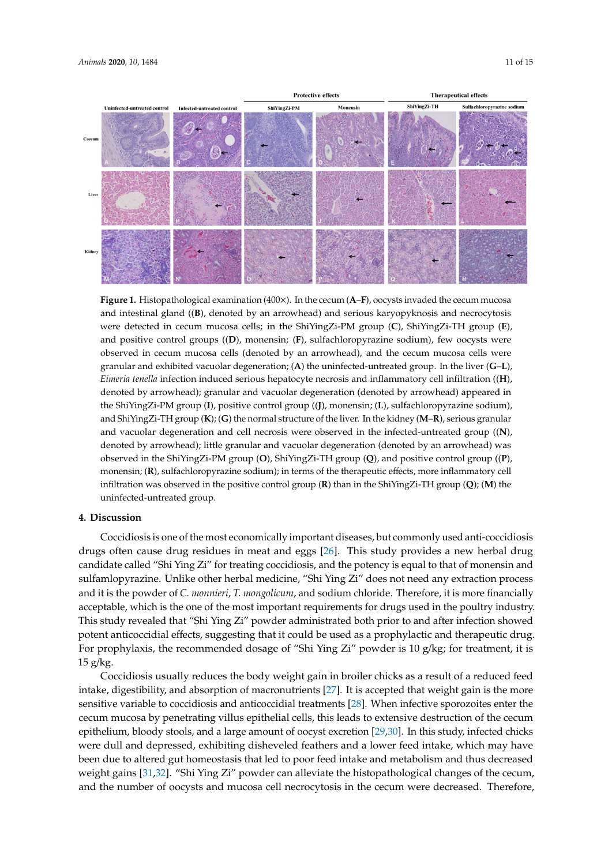

<span id="page-10-0"></span>

Figure 1. Histopathological examination (400x). In the cecum (A-F), oocysts invaded the cecum mucosa and intestinal gland ((**B**), denoted by an arrowhead) and serious karyopyknosis and necrocytosis necrocytosis were detected in cecum mucosa cells; in the ShiYingZi-PM group (**C**), ShiYingZi-TH were detected in cecum mucosa cells; in the ShiYingZi-PM group (**C**), ShiYingZi-TH group (**E**), and positive control groups ((D), monensin; (F), sulfachloropyrazine sodium), few oocysts were observed in cecum mucosa cells (denoted by an arrowhead), and the cecum mucosa cells were granular and exhibited vacuolar degeneration;  $(A)$  the uninfected-untreated group. In the liver  $(G-L)$ , Eimeria tenella infection induced serious hepatocyte necrosis and inflammatory cell infiltration ((H), denoted by arrowhead); granular and vacuolar degeneration (denoted by arrowhead) appeared in denoted by arrowhead); granular and vacuolar degeneration (denoted by arrowhead) appeared in the ShiYingZi-PM group (I), positive control group ((J), monensin; (L), sulfachloropyrazine sodium), and ShiYingZi-TH group (**K**); (**G**) the normal structure of the liver. In the kidney (**M**–**R**), serious granular and vacuolar degeneration and cell necrosis were observed in the infected-untreated group ((**N**), denoted by arrowhead); little granular and vacuolar degeneration (denoted by an arrowhead) was observed in the ShiYingZi-PM group (**O**), ShiYingZi-TH group (**Q**), and positive control group ((**P**), monensin; (**R**), sulfachloropyrazine sodium); in terms of the therapeutic effects, more inflammatory cell infiltration was observed in the positive control group (**R**) than in the ShiYingZi-TH group (**Q**); (**M**) the uninfected-untreated group.

## **4. Discussion**

Coccidiosis is one of the most economically important diseases, but commonly used anti-coccidiosis drugs often cause drug residues in meat and eggs [\[26\]](#page-13-4). This study provides a new herbal drug candidate called "Shi Ying Zi" for treating coccidiosis, and the potency is equal to that of monensin and sulfamlopyrazine. Unlike other herbal medicine, "Shi Ying Zi" does not need any extraction process and it is the powder of *C. monnieri*, *T. mongolicum*, and sodium chloride. Therefore, it is more financially acceptable, which is the one of the most important requirements for drugs used in the poultry industry. This study revealed that "Shi Ying Zi" powder administrated both prior to and after infection showed potent anticoccidial effects, suggesting that it could be used as a prophylactic and therapeutic drug. For prophylaxis, the recommended dosage of "Shi Ying Zi" powder is 10 g/kg; for treatment, it is  $15$  g/kg.

Coccidiosis usually reduces the body weight gain in broiler chicks as a result of a reduced feed intake, digestibility, and absorption of macronutrients [\[27\]](#page-13-5). It is accepted that weight gain is the more sensitive variable to coccidiosis and anticoccidial treatments [\[28\]](#page-13-6). When infective sporozoites enter the cecum mucosa by penetrating villus epithelial cells, this leads to extensive destruction of the cecum epithelium, bloody stools, and a large amount of oocyst excretion [\[29](#page-13-7)[,30\]](#page-13-8). In this study, infected chicks were dull and depressed, exhibiting disheveled feathers and a lower feed intake, which may have been due to altered gut homeostasis that led to poor feed intake and metabolism and thus decreased weight gains [\[31](#page-13-9)[,32\]](#page-13-10). "Shi Ying Zi" powder can alleviate the histopathological changes of the cecum, and the number of oocysts and mucosa cell necrocytosis in the cecum were decreased. Therefore,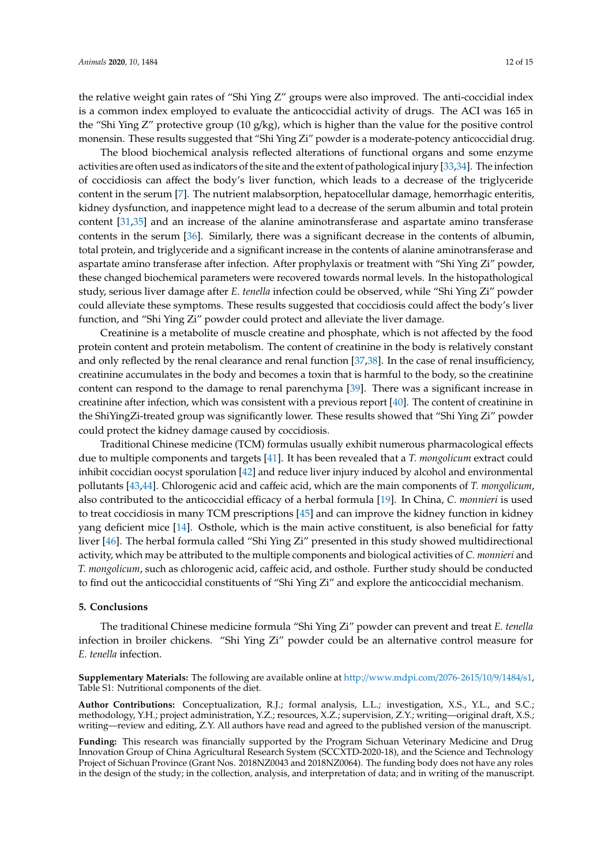the relative weight gain rates of "Shi Ying Z" groups were also improved. The anti-coccidial index is a common index employed to evaluate the anticoccidial activity of drugs. The ACI was 165 in the "Shi Ying Z" protective group (10 g/kg), which is higher than the value for the positive control monensin. These results suggested that "Shi Ying Zi" powder is a moderate-potency anticoccidial drug.

The blood biochemical analysis reflected alterations of functional organs and some enzyme activities are often used as indicators of the site and the extent of pathological injury [\[33,](#page-13-11)[34\]](#page-13-12). The infection of coccidiosis can affect the body's liver function, which leads to a decrease of the triglyceride content in the serum [\[7\]](#page-12-6). The nutrient malabsorption, hepatocellular damage, hemorrhagic enteritis, kidney dysfunction, and inappetence might lead to a decrease of the serum albumin and total protein content [\[31,](#page-13-9)[35\]](#page-13-13) and an increase of the alanine aminotransferase and aspartate amino transferase contents in the serum [\[36\]](#page-13-14). Similarly, there was a significant decrease in the contents of albumin, total protein, and triglyceride and a significant increase in the contents of alanine aminotransferase and aspartate amino transferase after infection. After prophylaxis or treatment with "Shi Ying Zi" powder, these changed biochemical parameters were recovered towards normal levels. In the histopathological study, serious liver damage after *E. tenella* infection could be observed, while "Shi Ying Zi" powder could alleviate these symptoms. These results suggested that coccidiosis could affect the body's liver function, and "Shi Ying Zi" powder could protect and alleviate the liver damage.

Creatinine is a metabolite of muscle creatine and phosphate, which is not affected by the food protein content and protein metabolism. The content of creatinine in the body is relatively constant and only reflected by the renal clearance and renal function [\[37,](#page-13-15)[38\]](#page-13-16). In the case of renal insufficiency, creatinine accumulates in the body and becomes a toxin that is harmful to the body, so the creatinine content can respond to the damage to renal parenchyma [\[39\]](#page-13-17). There was a significant increase in creatinine after infection, which was consistent with a previous report [\[40\]](#page-13-18). The content of creatinine in the ShiYingZi-treated group was significantly lower. These results showed that "Shi Ying Zi" powder could protect the kidney damage caused by coccidiosis.

Traditional Chinese medicine (TCM) formulas usually exhibit numerous pharmacological effects due to multiple components and targets [\[41\]](#page-13-19). It has been revealed that a *T. mongolicum* extract could inhibit coccidian oocyst sporulation [\[42\]](#page-14-0) and reduce liver injury induced by alcohol and environmental pollutants [\[43](#page-14-1)[,44\]](#page-14-2). Chlorogenic acid and caffeic acid, which are the main components of *T. mongolicum*, also contributed to the anticoccidial efficacy of a herbal formula [\[19\]](#page-12-18). In China, *C. monnieri* is used to treat coccidiosis in many TCM prescriptions [\[45\]](#page-14-3) and can improve the kidney function in kidney yang deficient mice [\[14\]](#page-12-13). Osthole, which is the main active constituent, is also beneficial for fatty liver [\[46\]](#page-14-4). The herbal formula called "Shi Ying Zi" presented in this study showed multidirectional activity, which may be attributed to the multiple components and biological activities of *C. monnieri* and *T. mongolicum*, such as chlorogenic acid, caffeic acid, and osthole. Further study should be conducted to find out the anticoccidial constituents of "Shi Ying Zi" and explore the anticoccidial mechanism.

#### **5. Conclusions**

The traditional Chinese medicine formula "Shi Ying Zi" powder can prevent and treat *E. tenella* infection in broiler chickens. "Shi Ying Zi" powder could be an alternative control measure for *E. tenella* infection.

**Supplementary Materials:** The following are available online at http://[www.mdpi.com](http://www.mdpi.com/2076-2615/10/9/1484/s1)/2076-2615/10/9/1484/s1, Table S1: Nutritional components of the diet.

**Author Contributions:** Conceptualization, R.J.; formal analysis, L.L.; investigation, X.S., Y.L., and S.C.; methodology, Y.H.; project administration, Y.Z.; resources, X.Z.; supervision, Z.Y.; writing—original draft, X.S.; writing—review and editing, Z.Y. All authors have read and agreed to the published version of the manuscript.

**Funding:** This research was financially supported by the Program Sichuan Veterinary Medicine and Drug Innovation Group of China Agricultural Research System (SCCXTD-2020-18), and the Science and Technology Project of Sichuan Province (Grant Nos. 2018NZ0043 and 2018NZ0064). The funding body does not have any roles in the design of the study; in the collection, analysis, and interpretation of data; and in writing of the manuscript.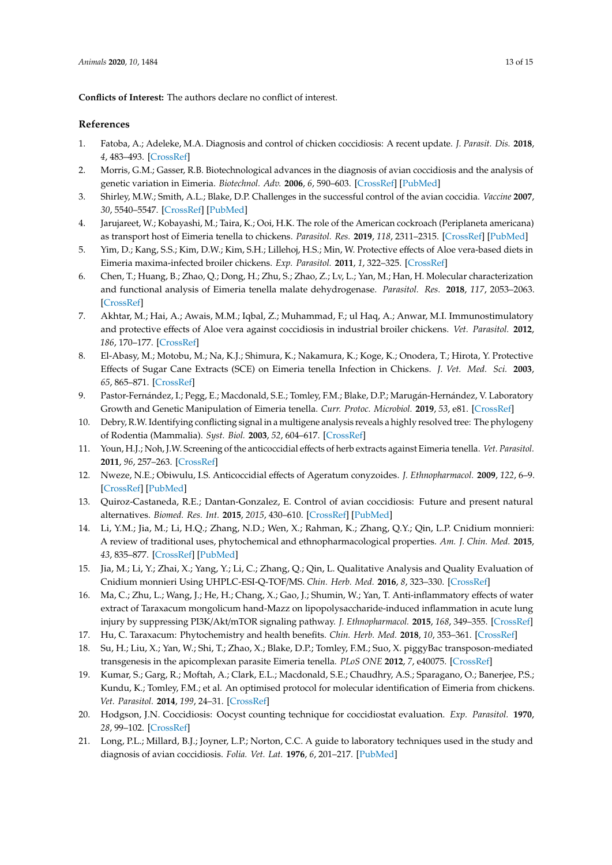**Conflicts of Interest:** The authors declare no conflict of interest.

## **References**

- <span id="page-12-0"></span>1. Fatoba, A.; Adeleke, M.A. Diagnosis and control of chicken coccidiosis: A recent update. *J. Parasit. Dis.* **2018**, *4*, 483–493. [\[CrossRef\]](http://dx.doi.org/10.1007/s12639-018-1048-1)
- <span id="page-12-1"></span>2. Morris, G.M.; Gasser, R.B. Biotechnological advances in the diagnosis of avian coccidiosis and the analysis of genetic variation in Eimeria. *Biotechnol. Adv.* **2006**, *6*, 590–603. [\[CrossRef\]](http://dx.doi.org/10.1016/j.biotechadv.2006.06.001) [\[PubMed\]](http://www.ncbi.nlm.nih.gov/pubmed/16901674)
- <span id="page-12-2"></span>3. Shirley, M.W.; Smith, A.L.; Blake, D.P. Challenges in the successful control of the avian coccidia. *Vaccine* **2007**, *30*, 5540–5547. [\[CrossRef\]](http://dx.doi.org/10.1016/j.vaccine.2006.12.030) [\[PubMed\]](http://www.ncbi.nlm.nih.gov/pubmed/17224208)
- <span id="page-12-3"></span>4. Jarujareet, W.; Kobayashi, M.; Taira, K.; Ooi, H.K. The role of the American cockroach (Periplaneta americana) as transport host of Eimeria tenella to chickens. *Parasitol. Res.* **2019**, *118*, 2311–2315. [\[CrossRef\]](http://dx.doi.org/10.1007/s00436-019-06348-0) [\[PubMed\]](http://www.ncbi.nlm.nih.gov/pubmed/31093752)
- <span id="page-12-4"></span>5. Yim, D.; Kang, S.S.; Kim, D.W.; Kim, S.H.; Lillehoj, H.S.; Min, W. Protective effects of Aloe vera-based diets in Eimeria maxima-infected broiler chickens. *Exp. Parasitol.* **2011**, *1*, 322–325. [\[CrossRef\]](http://dx.doi.org/10.1016/j.exppara.2010.08.010)
- <span id="page-12-5"></span>6. Chen, T.; Huang, B.; Zhao, Q.; Dong, H.; Zhu, S.; Zhao, Z.; Lv, L.; Yan, M.; Han, H. Molecular characterization and functional analysis of Eimeria tenella malate dehydrogenase. *Parasitol. Res.* **2018**, *117*, 2053–2063. [\[CrossRef\]](http://dx.doi.org/10.1007/s00436-018-5875-x)
- <span id="page-12-6"></span>7. Akhtar, M.; Hai, A.; Awais, M.M.; Iqbal, Z.; Muhammad, F.; ul Haq, A.; Anwar, M.I. Immunostimulatory and protective effects of Aloe vera against coccidiosis in industrial broiler chickens. *Vet. Parasitol.* **2012**, *186*, 170–177. [\[CrossRef\]](http://dx.doi.org/10.1016/j.vetpar.2011.11.059)
- <span id="page-12-7"></span>8. El-Abasy, M.; Motobu, M.; Na, K.J.; Shimura, K.; Nakamura, K.; Koge, K.; Onodera, T.; Hirota, Y. Protective Effects of Sugar Cane Extracts (SCE) on Eimeria tenella Infection in Chickens. *J. Vet. Med. Sci.* **2003**, *65*, 865–871. [\[CrossRef\]](http://dx.doi.org/10.1292/jvms.65.865)
- <span id="page-12-8"></span>9. Pastor-Fernández, I.; Pegg, E.; Macdonald, S.E.; Tomley, F.M.; Blake, D.P.; Marugán-Hernández, V. Laboratory Growth and Genetic Manipulation of Eimeria tenella. *Curr. Protoc. Microbiol.* **2019**, *53*, e81. [\[CrossRef\]](http://dx.doi.org/10.1002/cpmc.81)
- <span id="page-12-9"></span>10. Debry, R.W. Identifying conflicting signal in a multigene analysis reveals a highly resolved tree: The phylogeny of Rodentia (Mammalia). *Syst. Biol.* **2003**, *52*, 604–617. [\[CrossRef\]](http://dx.doi.org/10.1080/10635150390235403)
- <span id="page-12-10"></span>11. Youn, H.J.; Noh, J.W. Screening of the anticoccidial effects of herb extracts against Eimeria tenella. *Vet. Parasitol.* **2011**, *96*, 257–263. [\[CrossRef\]](http://dx.doi.org/10.1016/S0304-4017(01)00385-5)
- <span id="page-12-11"></span>12. Nweze, N.E.; Obiwulu, I.S. Anticoccidial effects of Ageratum conyzoides. *J. Ethnopharmacol.* **2009**, *122*, 6–9. [\[CrossRef\]](http://dx.doi.org/10.1016/j.jep.2008.11.014) [\[PubMed\]](http://www.ncbi.nlm.nih.gov/pubmed/19084586)
- <span id="page-12-12"></span>13. Quiroz-Castaneda, R.E.; Dantan-Gonzalez, E. Control of avian coccidiosis: Future and present natural alternatives. *Biomed. Res. Int.* **2015**, *2015*, 430–610. [\[CrossRef\]](http://dx.doi.org/10.1155/2015/430610) [\[PubMed\]](http://www.ncbi.nlm.nih.gov/pubmed/25785269)
- <span id="page-12-13"></span>14. Li, Y.M.; Jia, M.; Li, H.Q.; Zhang, N.D.; Wen, X.; Rahman, K.; Zhang, Q.Y.; Qin, L.P. Cnidium monnieri: A review of traditional uses, phytochemical and ethnopharmacological properties. *Am. J. Chin. Med.* **2015**, *43*, 835–877. [\[CrossRef\]](http://dx.doi.org/10.1142/S0192415X15500500) [\[PubMed\]](http://www.ncbi.nlm.nih.gov/pubmed/26243582)
- <span id="page-12-14"></span>15. Jia, M.; Li, Y.; Zhai, X.; Yang, Y.; Li, C.; Zhang, Q.; Qin, L. Qualitative Analysis and Quality Evaluation of Cnidium monnieri Using UHPLC-ESI-Q-TOF/MS. *Chin. Herb. Med.* **2016**, *8*, 323–330. [\[CrossRef\]](http://dx.doi.org/10.1016/S1674-6384(16)60058-8)
- <span id="page-12-15"></span>16. Ma, C.; Zhu, L.; Wang, J.; He, H.; Chang, X.; Gao, J.; Shumin, W.; Yan, T. Anti-inflammatory effects of water extract of Taraxacum mongolicum hand-Mazz on lipopolysaccharide-induced inflammation in acute lung injury by suppressing PI3K/Akt/mTOR signaling pathway. *J. Ethnopharmacol.* **2015**, *168*, 349–355. [\[CrossRef\]](http://dx.doi.org/10.1016/j.jep.2015.03.068)
- <span id="page-12-16"></span>17. Hu, C. Taraxacum: Phytochemistry and health benefits. *Chin. Herb. Med.* **2018**, *10*, 353–361. [\[CrossRef\]](http://dx.doi.org/10.1016/j.chmed.2018.08.003)
- <span id="page-12-17"></span>18. Su, H.; Liu, X.; Yan, W.; Shi, T.; Zhao, X.; Blake, D.P.; Tomley, F.M.; Suo, X. piggyBac transposon-mediated transgenesis in the apicomplexan parasite Eimeria tenella. *PLoS ONE* **2012**, *7*, e40075. [\[CrossRef\]](http://dx.doi.org/10.1371/journal.pone.0040075)
- <span id="page-12-18"></span>19. Kumar, S.; Garg, R.; Moftah, A.; Clark, E.L.; Macdonald, S.E.; Chaudhry, A.S.; Sparagano, O.; Banerjee, P.S.; Kundu, K.; Tomley, F.M.; et al. An optimised protocol for molecular identification of Eimeria from chickens. *Vet. Parasitol.* **2014**, *199*, 24–31. [\[CrossRef\]](http://dx.doi.org/10.1016/j.vetpar.2013.09.026)
- <span id="page-12-19"></span>20. Hodgson, J.N. Coccidiosis: Oocyst counting technique for coccidiostat evaluation. *Exp. Parasitol.* **1970**, *28*, 99–102. [\[CrossRef\]](http://dx.doi.org/10.1016/0014-4894(70)90073-1)
- <span id="page-12-20"></span>21. Long, P.L.; Millard, B.J.; Joyner, L.P.; Norton, C.C. A guide to laboratory techniques used in the study and diagnosis of avian coccidiosis. *Folia. Vet. Lat.* **1976**, *6*, 201–217. [\[PubMed\]](http://www.ncbi.nlm.nih.gov/pubmed/1010500)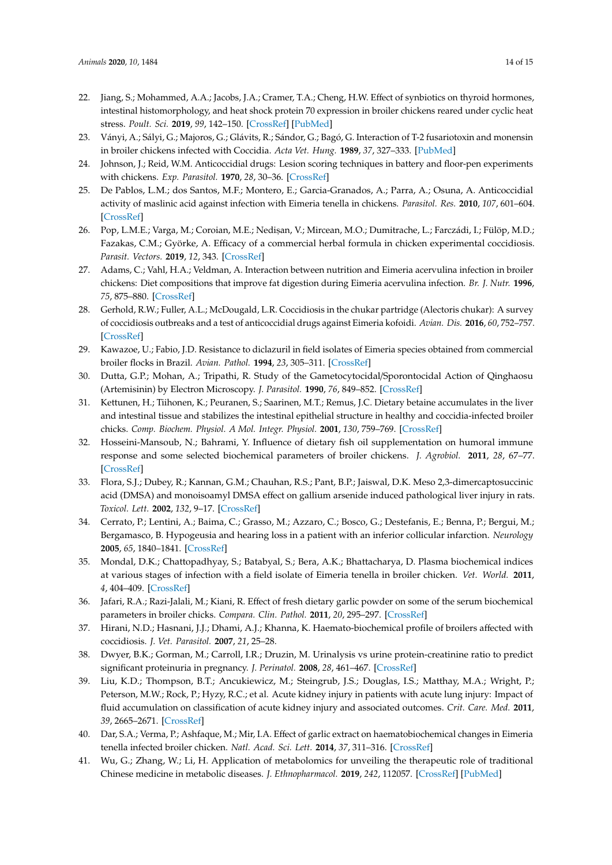- <span id="page-13-0"></span>22. Jiang, S.; Mohammed, A.A.; Jacobs, J.A.; Cramer, T.A.; Cheng, H.W. Effect of synbiotics on thyroid hormones, intestinal histomorphology, and heat shock protein 70 expression in broiler chickens reared under cyclic heat stress. *Poult. Sci.* **2019**, *99*, 142–150. [\[CrossRef\]](http://dx.doi.org/10.3382/ps/pez571) [\[PubMed\]](http://www.ncbi.nlm.nih.gov/pubmed/32416795)
- <span id="page-13-1"></span>23. Ványi, A.; Sályi, G.; Majoros, G.; Glávits, R.; Sándor, G.; Bagó, G. Interaction of T-2 fusariotoxin and monensin in broiler chickens infected with Coccidia. *Acta Vet. Hung.* **1989**, *37*, 327–333. [\[PubMed\]](http://www.ncbi.nlm.nih.gov/pubmed/2638811)
- <span id="page-13-2"></span>24. Johnson, J.; Reid, W.M. Anticoccidial drugs: Lesion scoring techniques in battery and floor-pen experiments with chickens. *Exp. Parasitol.* **1970**, *28*, 30–36. [\[CrossRef\]](http://dx.doi.org/10.1016/0014-4894(70)90063-9)
- <span id="page-13-3"></span>25. De Pablos, L.M.; dos Santos, M.F.; Montero, E.; Garcia-Granados, A.; Parra, A.; Osuna, A. Anticoccidial activity of maslinic acid against infection with Eimeria tenella in chickens. *Parasitol. Res.* **2010**, *107*, 601–604. [\[CrossRef\]](http://dx.doi.org/10.1007/s00436-010-1901-3)
- <span id="page-13-4"></span>26. Pop, L.M.E.; Varga, M.; Coroian, M.E.; Nedisan, V.; Mircean, M.O.; Dumitrache, L.; Farczádi, I.; Fülöp, M.D.; Fazakas, C.M.; Györke, A. Efficacy of a commercial herbal formula in chicken experimental coccidiosis. *Parasit. Vectors.* **2019**, *12*, 343. [\[CrossRef\]](http://dx.doi.org/10.1186/s13071-019-3595-4)
- <span id="page-13-5"></span>27. Adams, C.; Vahl, H.A.; Veldman, A. Interaction between nutrition and Eimeria acervulina infection in broiler chickens: Diet compositions that improve fat digestion during Eimeria acervulina infection. *Br. J. Nutr.* **1996**, *75*, 875–880. [\[CrossRef\]](http://dx.doi.org/10.1079/BJN19960193)
- <span id="page-13-6"></span>28. Gerhold, R.W.; Fuller, A.L.; McDougald, L.R. Coccidiosis in the chukar partridge (Alectoris chukar): A survey of coccidiosis outbreaks and a test of anticoccidial drugs against Eimeria kofoidi. *Avian. Dis.* **2016**, *60*, 752–757. [\[CrossRef\]](http://dx.doi.org/10.1637/11388-020816-Reg)
- <span id="page-13-7"></span>29. Kawazoe, U.; Fabio, J.D. Resistance to diclazuril in field isolates of Eimeria species obtained from commercial broiler flocks in Brazil. *Avian. Pathol.* **1994**, *23*, 305–311. [\[CrossRef\]](http://dx.doi.org/10.1080/03079459408418998)
- <span id="page-13-8"></span>30. Dutta, G.P.; Mohan, A.; Tripathi, R. Study of the Gametocytocidal/Sporontocidal Action of Qinghaosu (Artemisinin) by Electron Microscopy. *J. Parasitol.* **1990**, *76*, 849–852. [\[CrossRef\]](http://dx.doi.org/10.2307/3282804)
- <span id="page-13-9"></span>31. Kettunen, H.; Tiihonen, K.; Peuranen, S.; Saarinen, M.T.; Remus, J.C. Dietary betaine accumulates in the liver and intestinal tissue and stabilizes the intestinal epithelial structure in healthy and coccidia-infected broiler chicks. *Comp. Biochem. Physiol. A Mol. Integr. Physiol.* **2001**, *130*, 759–769. [\[CrossRef\]](http://dx.doi.org/10.1016/S1095-6433(01)00410-X)
- <span id="page-13-10"></span>32. Hosseini-Mansoub, N.; Bahrami, Y. Influence of dietary fish oil supplementation on humoral immune response and some selected biochemical parameters of broiler chickens. *J. Agrobiol.* **2011**, *28*, 67–77. [\[CrossRef\]](http://dx.doi.org/10.2478/v10146-011-0008-5)
- <span id="page-13-11"></span>33. Flora, S.J.; Dubey, R.; Kannan, G.M.; Chauhan, R.S.; Pant, B.P.; Jaiswal, D.K. Meso 2,3-dimercaptosuccinic acid (DMSA) and monoisoamyl DMSA effect on gallium arsenide induced pathological liver injury in rats. *Toxicol. Lett.* **2002**, *132*, 9–17. [\[CrossRef\]](http://dx.doi.org/10.1016/S0378-4274(02)00034-6)
- <span id="page-13-12"></span>34. Cerrato, P.; Lentini, A.; Baima, C.; Grasso, M.; Azzaro, C.; Bosco, G.; Destefanis, E.; Benna, P.; Bergui, M.; Bergamasco, B. Hypogeusia and hearing loss in a patient with an inferior collicular infarction. *Neurology* **2005**, *65*, 1840–1841. [\[CrossRef\]](http://dx.doi.org/10.1212/01.wnl.0000187083.90889.72)
- <span id="page-13-13"></span>35. Mondal, D.K.; Chattopadhyay, S.; Batabyal, S.; Bera, A.K.; Bhattacharya, D. Plasma biochemical indices at various stages of infection with a field isolate of Eimeria tenella in broiler chicken. *Vet. World.* **2011**, *4*, 404–409. [\[CrossRef\]](http://dx.doi.org/10.5455/vetworld.2011.404-409)
- <span id="page-13-14"></span>36. Jafari, R.A.; Razi-Jalali, M.; Kiani, R. Effect of fresh dietary garlic powder on some of the serum biochemical parameters in broiler chicks. *Compara. Clin. Pathol.* **2011**, *20*, 295–297. [\[CrossRef\]](http://dx.doi.org/10.1007/s00580-010-0989-2)
- <span id="page-13-15"></span>37. Hirani, N.D.; Hasnani, J.J.; Dhami, A.J.; Khanna, K. Haemato-biochemical profile of broilers affected with coccidiosis. *J. Vet. Parasitol.* **2007**, *21*, 25–28.
- <span id="page-13-16"></span>38. Dwyer, B.K.; Gorman, M.; Carroll, I.R.; Druzin, M. Urinalysis vs urine protein-creatinine ratio to predict significant proteinuria in pregnancy. *J. Perinatol.* **2008**, *28*, 461–467. [\[CrossRef\]](http://dx.doi.org/10.1038/jp.2008.4)
- <span id="page-13-17"></span>39. Liu, K.D.; Thompson, B.T.; Ancukiewicz, M.; Steingrub, J.S.; Douglas, I.S.; Matthay, M.A.; Wright, P.; Peterson, M.W.; Rock, P.; Hyzy, R.C.; et al. Acute kidney injury in patients with acute lung injury: Impact of fluid accumulation on classification of acute kidney injury and associated outcomes. *Crit. Care. Med.* **2011**, *39*, 2665–2671. [\[CrossRef\]](http://dx.doi.org/10.1097/CCM.0b013e318228234b)
- <span id="page-13-18"></span>40. Dar, S.A.; Verma, P.; Ashfaque, M.; Mir, I.A. Effect of garlic extract on haematobiochemical changes in Eimeria tenella infected broiler chicken. *Natl. Acad. Sci. Lett.* **2014**, *37*, 311–316. [\[CrossRef\]](http://dx.doi.org/10.1007/s40009-014-0237-4)
- <span id="page-13-19"></span>41. Wu, G.; Zhang, W.; Li, H. Application of metabolomics for unveiling the therapeutic role of traditional Chinese medicine in metabolic diseases. *J. Ethnopharmacol.* **2019**, *242*, 112057. [\[CrossRef\]](http://dx.doi.org/10.1016/j.jep.2019.112057) [\[PubMed\]](http://www.ncbi.nlm.nih.gov/pubmed/31279867)